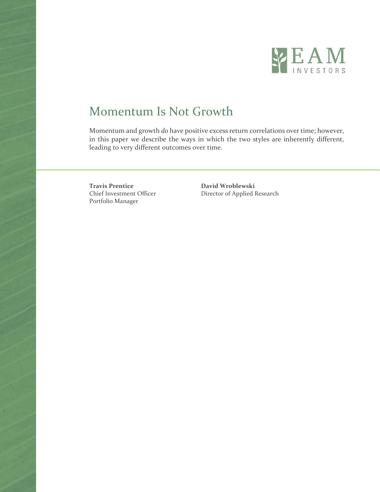

# Momentum Is Not Growth

Momentum and growth *do* have positive excess return correlations over time; however, in this paper we describe the ways in which the two styles are inherently different, leading to very different outcomes over time.

**Travis Prentice David Wroblewski** Portfolio Manager

Chief Investment Officer Director of Applied Research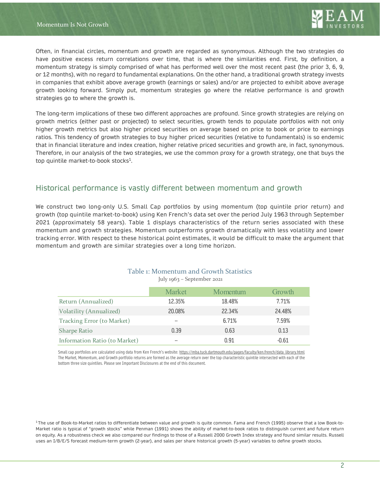Often, in financial circles, momentum and growth are regarded as synonymous. Although the two strategies do have positive excess return correlations over time, that is where the similarities end. First, by definition, a momentum strategy is simply comprised of what has performed well over the most recent past (the prior 3, 6, 9, or 12 months), with no regard to fundamental explanations. On the other hand, a traditional growth strategy invests in companies that exhibit above average growth (earnings or sales) and/or are projected to exhibit above average growth looking forward. Simply put, momentum strategies go where the relative performance is and growth strategies go to where the growth is.

The long-term implications of these two different approaches are profound. Since growth strategies are relying on growth metrics (either past or projected) to select securities, growth tends to populate portfolios with not only higher growth metrics but also higher priced securities on average based on price to book or price to earnings ratios. This tendency of growth strategies to buy higher priced securities (relative to fundamentals) is so endemic that in financial literature and index creation, higher relative priced securities and growth are, in fact, synonymous. Therefore, in our analysis of the two strategies, we use the common proxy for a growth strategy, one that buys the top quintile market-to-book stocks<sup>1</sup>.

#### Historical performance is vastly different between momentum and growth

We construct two long-only U.S. Small Cap portfolios by using momentum (top quintile prior return) and growth (top quintile market-to-book) using Ken French's data set over the period July 1963 through September 2021 (approximately 58 years). Table 1 displays characteristics of the return series associated with these momentum and growth strategies. Momentum outperforms growth dramatically with less volatility and lower tracking error. With respect to these historical point estimates, it would be difficult to make the argument that momentum and growth are similar strategies over a long time horizon.

|                                | <b>Market</b> | Momentum | Growth  |
|--------------------------------|---------------|----------|---------|
| Return (Annualized)            | 12.35%        | 18.48%   | 7.71%   |
| <b>Volatility (Annualized)</b> | 20.08%        | 22.34%   | 24.48%  |
| Tracking Error (to Market)     | --            | 6.71%    | 7.59%   |
| <b>Sharpe Ratio</b>            | 0.39          | 0.63     | 0.13    |
| Information Ratio (to Market)  | --            | 0.91     | $-0.61$ |

Table 1: Momentum and Growth Statistics July 1963 – September 2021

Small cap portfolios are calculated using data from Ken French's website[: https://mba.tuck.dartmouth.edu/pages/faculty/ken.french/data\\_library.html](https://mba.tuck.dartmouth.edu/pages/faculty/ken.french/data_library.html) The Market, Momentum, and Growth portfolio returns are formed as the average return over the top characteristic quintile intersected with each of the bottom three size quintiles. Please see Important Disclosures at the end of this document.

<sup>1</sup>The use of Book-to-Market ratios to differentiate between value and growth is quite common. Fama and French (1995) observe that a low Book-to-Market ratio is typical of "growth stocks" while Penman (1991) shows the ability of market-to-book ratios to distinguish current and future return on equity. As a robustness check we also compared our findings to those of a Russell 2000 Growth Index strategy and found similar results. Russell uses an I/B/E/S forecast medium-term growth (2-year), and sales per share historical growth (5-year) variables to define growth stocks.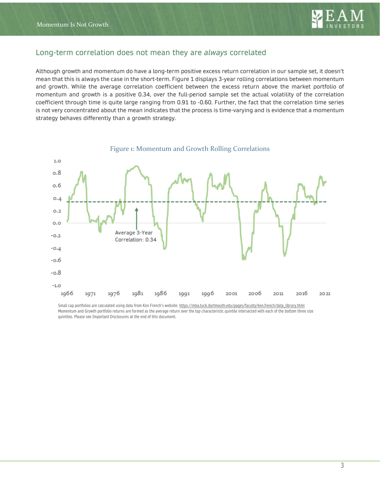

## Long-term correlation does not mean they are *always* correlated

Although growth and momentum do have a long-term positive excess return correlation in our sample set, it doesn't mean that this is always the case in the short-term. Figure 1 displays 3-year rolling correlations between momentum and growth. While the average correlation coefficient between the excess return above the market portfolio of momentum and growth is a positive 0.34, over the full-period sample set the actual volatility of the correlation coefficient through time is quite large ranging from 0.91 to -0.60. Further, the fact that the correlation time series is not very concentrated about the mean indicates that the process is time-varying and is evidence that a momentum strategy behaves differently than a growth strategy.



Small cap portfolios are calculated using data from Ken French's website[: https://mba.tuck.dartmouth.edu/pages/faculty/ken.french/data\\_library.html](https://mba.tuck.dartmouth.edu/pages/faculty/ken.french/data_library.html) Momentum and Growth portfolio returns are formed as the average return over the top characteristic quintile intersected with each of the bottom three size quintiles. Please see Important Disclosures at the end of this document.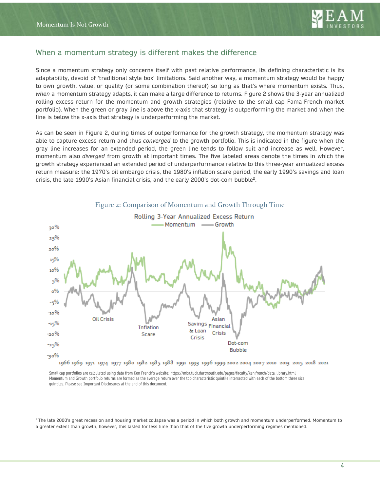

#### When a momentum strategy is different makes the difference

Since a momentum strategy only concerns itself with past relative performance, its defining characteristic is its adaptability, devoid of 'traditional style box' limitations. Said another way, a momentum strategy would be happy to own growth, value, or quality (or some combination thereof) so long as that's where momentum exists. Thus, *when* a momentum strategy adapts, it can make a large difference to returns. Figure 2 shows the 3-year annualized rolling excess return for the momentum and growth strategies (relative to the small cap Fama-French market portfolio). When the green or gray line is above the x-axis that strategy is outperforming the market and when the line is below the x-axis that strategy is underperforming the market.

As can be seen in Figure 2, during times of outperformance for the growth strategy, the momentum strategy was able to capture excess return and thus *converged* to the growth portfolio. This is indicated in the figure when the gray line increases for an extended period, the green line tends to follow suit and increase as well. However, momentum also *diverged* from growth at important times. The five labeled areas denote the times in which the growth strategy experienced an extended period of underperformance relative to this three-year annualized excess return measure: the 1970's oil embargo crisis, the 1980's inflation scare period, the early 1990's savings and loan crisis, the late 1990's Asian financial crisis, and the early 2000's dot-com bubble2.



Small cap portfolios are calculated using data from Ken French's website[: https://mba.tuck.dartmouth.edu/pages/faculty/ken.french/data\\_library.html](https://mba.tuck.dartmouth.edu/pages/faculty/ken.french/data_library.html) Momentum and Growth portfolio returns are formed as the average return over the top characteristic quintile intersected with each of the bottom three size quintiles. Please see Important Disclosures at the end of this document.

<sup>2</sup>The late 2000's great recession and housing market collapse was a period in which both growth and momentum underperformed. Momentum to a greater extent than growth, however, this lasted for less time than that of the five growth underperforming regimes mentioned.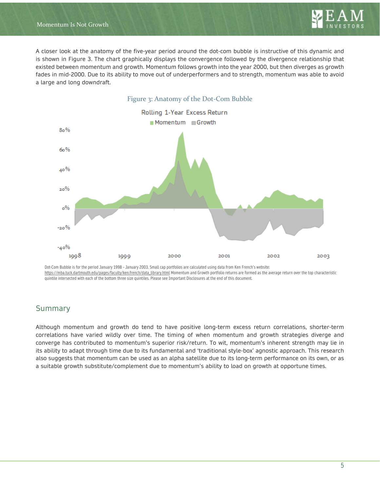

A closer look at the anatomy of the five-year period around the dot-com bubble is instructive of this dynamic and is shown in Figure 3. The chart graphically displays the convergence followed by the divergence relationship that existed between momentum and growth. Momentum follows growth into the year 2000, but then diverges as growth fades in mid-2000. Due to its ability to move out of underperformers and to strength, momentum was able to avoid a large and long downdraft.



Dot-Com Bubble is for the period January 1998 – January 2003. Small cap portfolios are calculated using data from Ken French's website: [https://mba.tuck.dartmouth.edu/pages/faculty/ken.french/data\\_library.html](https://mba.tuck.dartmouth.edu/pages/faculty/ken.french/data_library.html) Momentum and Growth portfolio returns are formed as the average return over the top characteristic quintile intersected with each of the bottom three size quintiles. Please see Important Disclosures at the end of this document.

#### Summary

Although momentum and growth do tend to have positive long-term excess return correlations, shorter-term correlations have varied wildly over time. The timing of when momentum and growth strategies diverge and converge has contributed to momentum's superior risk/return. To wit, momentum's inherent strength may lie in its ability to adapt through time due to its fundamental and 'traditional style-box' agnostic approach. This research also suggests that momentum can be used as an alpha satellite due to its long-term performance on its own, or as a suitable growth substitute/complement due to momentum's ability to load on growth at opportune times.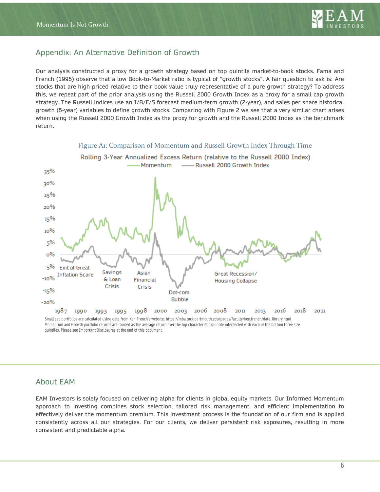

### Appendix: An Alternative Definition of Growth

Our analysis constructed a proxy for a growth strategy based on top quintile market-to-book stocks. Fama and French (1995) observe that a low Book-to-Market ratio is typical of "growth stocks". A fair question to ask is: Are stocks that are high priced relative to their book value truly representative of a pure growth strategy? To address this, we repeat part of the prior analysis using the Russell 2000 Growth Index as a proxy for a small cap growth strategy. The Russell indices use an I/B/E/S forecast medium-term growth (2-year), and sales per share historical growth (5-year) variables to define growth stocks. Comparing with Figure 2 we see that a very similar chart arises when using the Russell 2000 Growth Index as the proxy for growth and the Russell 2000 Index as the benchmark return.



Figure A1: Comparison of Momentum and Russell Growth Index Through Time

Small cap portfolios are calculated using data from Ken French's website[: https://mba.tuck.dartmouth.edu/pages/faculty/ken.french/data\\_library.html](https://mba.tuck.dartmouth.edu/pages/faculty/ken.french/data_library.html) Momentum and Growth portfolio returns are formed as the average return over the top characteristic quintile intersected with each of the bottom three size quintiles. Please see Important Disclosures at the end of this document.

#### About EAM

EAM Investors is solely focused on delivering alpha for clients in global equity markets. Our Informed Momentum approach to investing combines stock selection, tailored risk management, and efficient implementation to effectively deliver the momentum premium. This investment process is the foundation of our firm and is applied consistently across all our strategies. For our clients, we deliver persistent risk exposures, resulting in more consistent and predictable alpha.